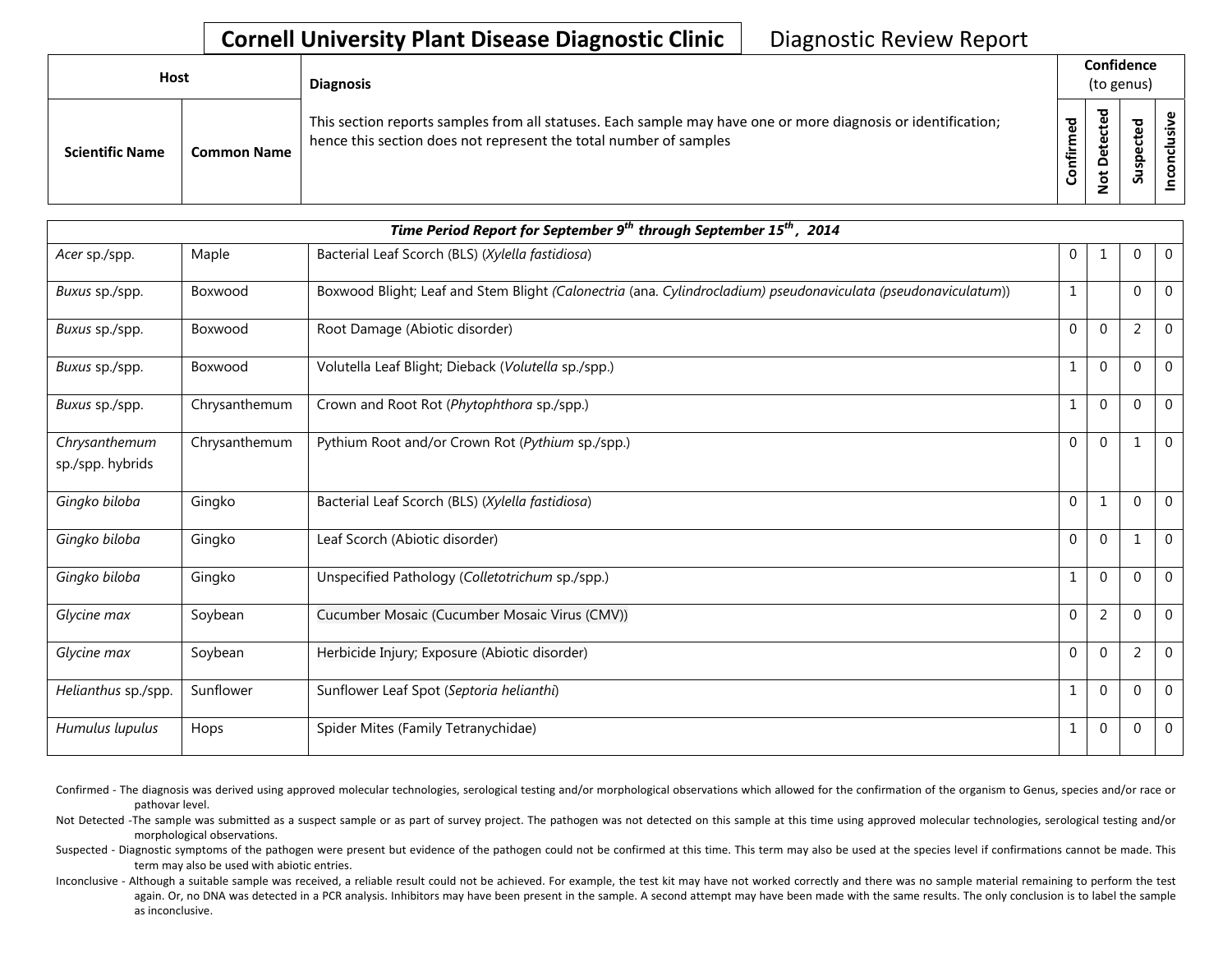| <b>Host</b> |                        |                    | <b>Diagnosis</b>                                                                                                                                                                   |                         |                                | Confidence<br>(to genus)               |  |
|-------------|------------------------|--------------------|------------------------------------------------------------------------------------------------------------------------------------------------------------------------------------|-------------------------|--------------------------------|----------------------------------------|--|
|             | <b>Scientific Name</b> | <b>Common Name</b> | This section reports samples from all statuses. Each sample may have one or more diagnosis or identification;<br>hence this section does not represent the total number of samples | ි<br>ම<br>Ē.<br>Confiri | ᇃ<br>cte<br>ete<br>۵<br>ى<br>؋ | ted<br>ں<br>$\omega$<br><u>유</u><br>ທັ |  |

|                                   | Time Period Report for September 9 <sup>th</sup> through September 15 <sup>th</sup> , 2014 |                                                                                                                |                |                |                |                |  |  |  |  |
|-----------------------------------|--------------------------------------------------------------------------------------------|----------------------------------------------------------------------------------------------------------------|----------------|----------------|----------------|----------------|--|--|--|--|
| Acer sp./spp.                     | Maple                                                                                      | Bacterial Leaf Scorch (BLS) (Xylella fastidiosa)                                                               | $\overline{0}$ | -1             | $\mathbf 0$    | $\mathbf 0$    |  |  |  |  |
| Buxus sp./spp.                    | Boxwood                                                                                    | Boxwood Blight; Leaf and Stem Blight (Calonectria (ana. Cylindrocladium) pseudonaviculata (pseudonaviculatum)) | $\mathbf{1}$   |                | $\Omega$       | $\mathbf{0}$   |  |  |  |  |
| Buxus sp./spp.                    | Boxwood                                                                                    | Root Damage (Abiotic disorder)                                                                                 | $\Omega$       | $\Omega$       | $\overline{2}$ | $\mathbf 0$    |  |  |  |  |
| Buxus sp./spp.                    | Boxwood                                                                                    | Volutella Leaf Blight; Dieback (Volutella sp./spp.)                                                            | $\mathbf{1}$   | $\Omega$       | 0              | $\mathbf{0}$   |  |  |  |  |
| Buxus sp./spp.                    | Chrysanthemum                                                                              | Crown and Root Rot (Phytophthora sp./spp.)                                                                     | $\mathbf{1}$   | $\Omega$       | $\mathbf 0$    | $\overline{0}$ |  |  |  |  |
| Chrysanthemum<br>sp./spp. hybrids | Chrysanthemum                                                                              | Pythium Root and/or Crown Rot (Pythium sp./spp.)                                                               | $\Omega$       | $\mathbf{0}$   |                | $\mathbf{0}$   |  |  |  |  |
| Gingko biloba                     | Gingko                                                                                     | Bacterial Leaf Scorch (BLS) (Xylella fastidiosa)                                                               | $\Omega$       | $\mathbf{1}$   | $\Omega$       | $\mathbf{0}$   |  |  |  |  |
| Gingko biloba                     | Gingko                                                                                     | Leaf Scorch (Abiotic disorder)                                                                                 | $\Omega$       | $\Omega$       | 1              | $\Omega$       |  |  |  |  |
| Gingko biloba                     | Gingko                                                                                     | Unspecified Pathology (Colletotrichum sp./spp.)                                                                | $\mathbf{1}$   | $\Omega$       | $\mathbf 0$    | $\mathbf 0$    |  |  |  |  |
| Glycine max                       | Soybean                                                                                    | Cucumber Mosaic (Cucumber Mosaic Virus (CMV))                                                                  | $\mathbf{0}$   | $\overline{2}$ | $\mathbf 0$    | $\mathbf{0}$   |  |  |  |  |
| Glycine max                       | Soybean                                                                                    | Herbicide Injury; Exposure (Abiotic disorder)                                                                  | $\Omega$       | $\Omega$       | $\overline{2}$ | $\mathbf{0}$   |  |  |  |  |
| Helianthus sp./spp.               | Sunflower                                                                                  | Sunflower Leaf Spot (Septoria helianthi)                                                                       | $\mathbf{1}$   | $\Omega$       | $\mathbf 0$    | $\mathbf 0$    |  |  |  |  |
| Humulus lupulus                   | Hops                                                                                       | Spider Mites (Family Tetranychidae)                                                                            | 1              | $\mathbf{0}$   | 0              | $\mathbf 0$    |  |  |  |  |

Confirmed - The diagnosis was derived using approved molecular technologies, serological testing and/or morphological observations which allowed for the confirmation of the organism to Genus, species and/or race or pathovar level.

Not Detected -The sample was submitted as a suspect sample or as part of survey project. The pathogen was not detected on this sample at this time using approved molecular technologies, serological testing and/or morphological observations.

Suspected - Diagnostic symptoms of the pathogen were present but evidence of the pathogen could not be confirmed at this time. This term may also be used at the species level if confirmations cannot be made. This term may also be used with abiotic entries.

Inconclusive - Although a suitable sample was received, a reliable result could not be achieved. For example, the test kit may have not worked correctly and there was no sample material remaining to perform the test again. Or, no DNA was detected in a PCR analysis. Inhibitors may have been present in the sample. A second attempt may have been made with the same results. The only conclusion is to label the sample as inconclusive.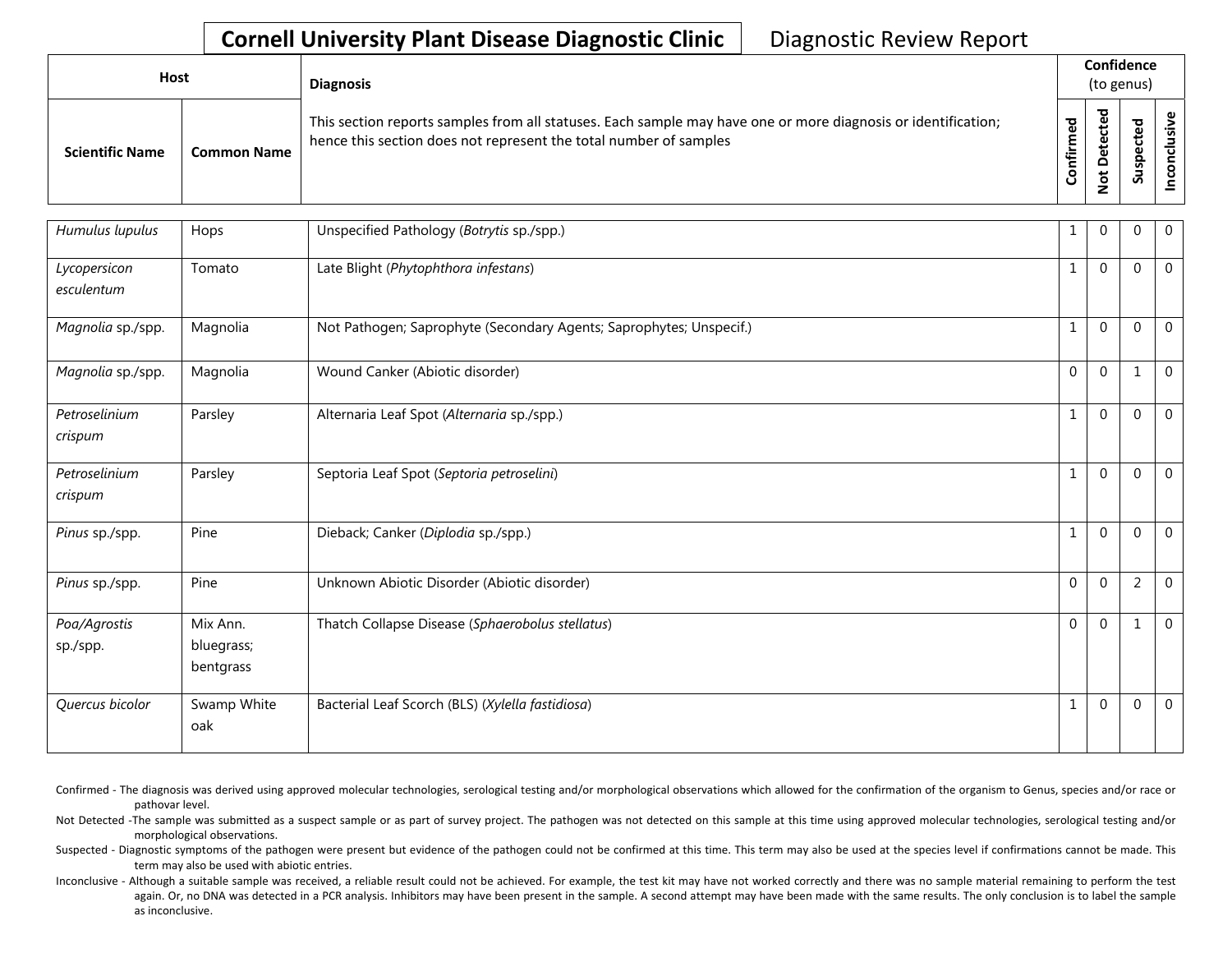| Host                   |                    | <b>Diagnosis</b>                                                                                                                                                                   |                      |                                             | Confidence<br>(to genus) |   |
|------------------------|--------------------|------------------------------------------------------------------------------------------------------------------------------------------------------------------------------------|----------------------|---------------------------------------------|--------------------------|---|
| <b>Scientific Name</b> | <b>Common Name</b> | This section reports samples from all statuses. Each sample may have one or more diagnosis or identification;<br>hence this section does not represent the total number of samples | ਠ<br>Ō<br>Ě<br>onfir | ठ<br>$\mathbf \omega$<br>⊷<br>▭<br><u>g</u> | ठ<br>9s<br>వె            | ึ |

| Humulus lupulus            | Hops                                | Unspecified Pathology (Botrytis sp./spp.)                           | 1            | $\Omega$     | $\Omega$       | $\mathbf 0$  |
|----------------------------|-------------------------------------|---------------------------------------------------------------------|--------------|--------------|----------------|--------------|
| Lycopersicon<br>esculentum | Tomato                              | Late Blight (Phytophthora infestans)                                | $\mathbf{1}$ | $\Omega$     | $\mathbf 0$    | $\mathbf 0$  |
| Magnolia sp./spp.          | Magnolia                            | Not Pathogen; Saprophyte (Secondary Agents; Saprophytes; Unspecif.) | $\mathbf{1}$ | $\mathbf{0}$ | $\mathbf{0}$   | 0            |
| Magnolia sp./spp.          | Magnolia                            | Wound Canker (Abiotic disorder)                                     | $\Omega$     | $\Omega$     | 1              | $\mathbf 0$  |
| Petroselinium<br>crispum   | Parsley                             | Alternaria Leaf Spot (Alternaria sp./spp.)                          | $\mathbf{1}$ | $\Omega$     | $\mathbf{0}$   | $\mathbf 0$  |
| Petroselinium<br>crispum   | Parsley                             | Septoria Leaf Spot (Septoria petroselini)                           | 1            | $\mathbf 0$  | $\Omega$       | $\mathbf 0$  |
| Pinus sp./spp.             | Pine                                | Dieback; Canker (Diplodia sp./spp.)                                 | $\mathbf{1}$ | $\mathbf 0$  | $\mathbf{0}$   | $\mathbf 0$  |
| Pinus sp./spp.             | Pine                                | Unknown Abiotic Disorder (Abiotic disorder)                         | $\Omega$     | $\Omega$     | $\overline{2}$ | $\mathbf 0$  |
| Poa/Agrostis<br>sp./spp.   | Mix Ann.<br>bluegrass;<br>bentgrass | Thatch Collapse Disease (Sphaerobolus stellatus)                    | $\Omega$     | $\Omega$     | 1              | $\mathbf 0$  |
| Quercus bicolor            | Swamp White<br>oak                  | Bacterial Leaf Scorch (BLS) (Xylella fastidiosa)                    | $\mathbf{1}$ | $\Omega$     | $\mathbf 0$    | $\mathbf{0}$ |

Confirmed - The diagnosis was derived using approved molecular technologies, serological testing and/or morphological observations which allowed for the confirmation of the organism to Genus, species and/or race or pathovar level.

Not Detected -The sample was submitted as a suspect sample or as part of survey project. The pathogen was not detected on this sample at this time using approved molecular technologies, serological testing and/or morphological observations.

Suspected - Diagnostic symptoms of the pathogen were present but evidence of the pathogen could not be confirmed at this time. This term may also be used at the species level if confirmations cannot be made. This term may also be used with abiotic entries.

Inconclusive - Although a suitable sample was received, a reliable result could not be achieved. For example, the test kit may have not worked correctly and there was no sample material remaining to perform the test again. Or, no DNA was detected in a PCR analysis. Inhibitors may have been present in the sample. A second attempt may have been made with the same results. The only conclusion is to label the sample as inconclusive.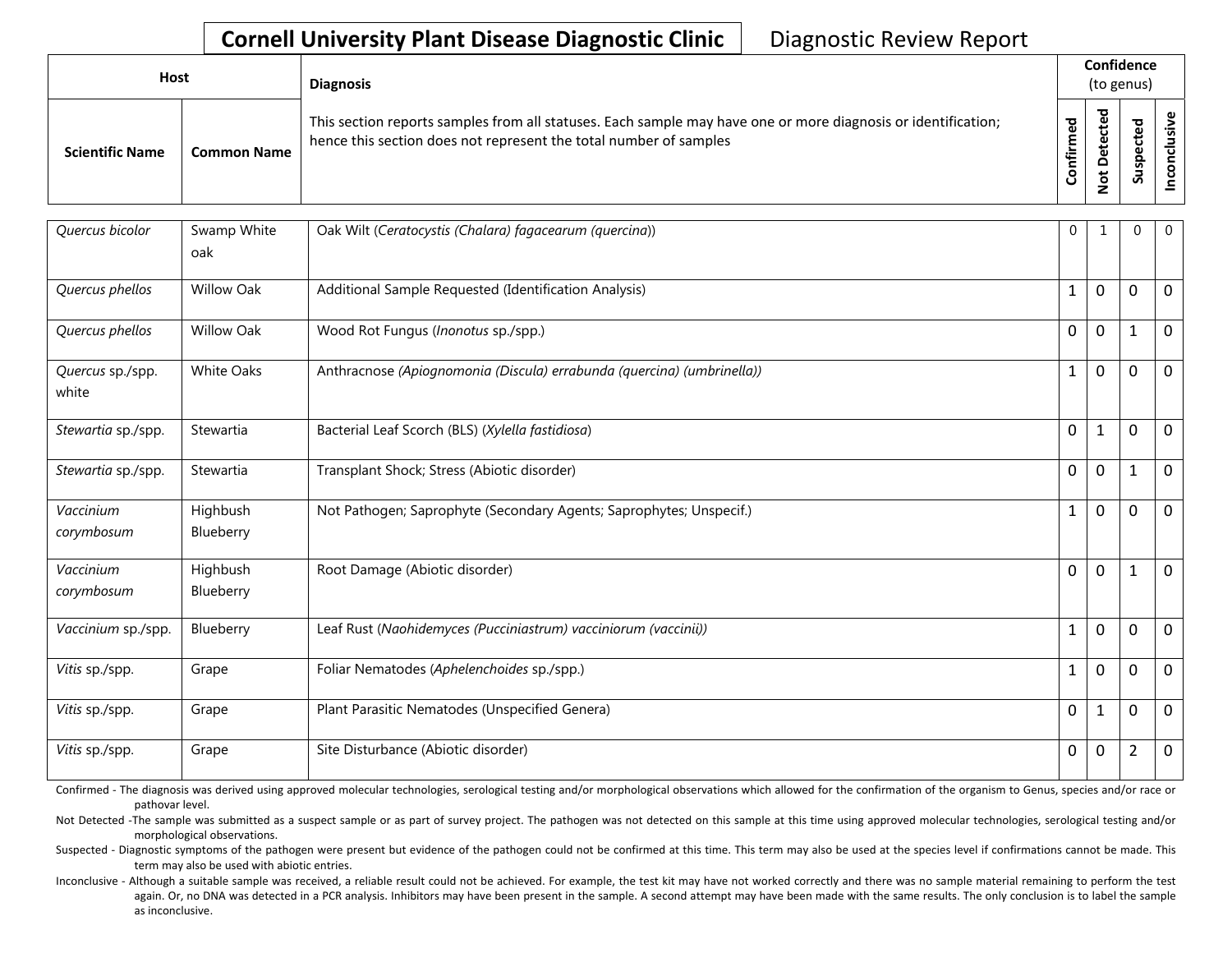| <b>Host</b>            |                    | <b>Diagnosis</b>                                                                                                                                                                   | Confidence<br>(to genus) |   |                                      |   |  |  |  |  |
|------------------------|--------------------|------------------------------------------------------------------------------------------------------------------------------------------------------------------------------------|--------------------------|---|--------------------------------------|---|--|--|--|--|
| <b>Scientific Name</b> | <b>Common Name</b> | This section reports samples from all statuses. Each sample may have one or more diagnosis or identification;<br>hence this section does not represent the total number of samples | ਠ<br>tir                 | ಾ | ᇴ<br>Φ<br>ں<br>ω<br>௨<br>S<br>۔<br>S | ൧ |  |  |  |  |

| Quercus bicolor           | Swamp White<br>oak    | Oak Wilt (Ceratocystis (Chalara) fagacearum (quercina))                | 0            | 1            | $\mathbf 0$    | $\mathbf 0$ |
|---------------------------|-----------------------|------------------------------------------------------------------------|--------------|--------------|----------------|-------------|
| Quercus phellos           | <b>Willow Oak</b>     | Additional Sample Requested (Identification Analysis)                  | $\mathbf{1}$ | $\mathbf 0$  | 0              | $\mathbf 0$ |
| Quercus phellos           | <b>Willow Oak</b>     | Wood Rot Fungus (Inonotus sp./spp.)                                    | 0            | $\mathbf 0$  | $\mathbf{1}$   | $\mathbf 0$ |
| Quercus sp./spp.<br>white | <b>White Oaks</b>     | Anthracnose (Apiognomonia (Discula) errabunda (quercina) (umbrinella)) | $\mathbf{1}$ | $\mathbf 0$  | 0              | $\mathbf 0$ |
| Stewartia sp./spp.        | Stewartia             | Bacterial Leaf Scorch (BLS) (Xylella fastidiosa)                       | 0            | $\mathbf{1}$ | 0              | $\mathbf 0$ |
| Stewartia sp./spp.        | Stewartia             | Transplant Shock; Stress (Abiotic disorder)                            | 0            | $\mathbf 0$  | $\mathbf{1}$   | $\mathbf 0$ |
| Vaccinium<br>corymbosum   | Highbush<br>Blueberry | Not Pathogen; Saprophyte (Secondary Agents; Saprophytes; Unspecif.)    | 1            | $\mathbf 0$  | 0              | $\mathbf 0$ |
| Vaccinium<br>corymbosum   | Highbush<br>Blueberry | Root Damage (Abiotic disorder)                                         | 0            | $\mathbf 0$  | 1              | 0           |
| Vaccinium sp./spp.        | Blueberry             | Leaf Rust (Naohidemyces (Pucciniastrum) vacciniorum (vaccinii))        | 1            | $\mathbf 0$  | 0              | 0           |
| Vitis sp./spp.            | Grape                 | Foliar Nematodes (Aphelenchoides sp./spp.)                             | 1            | $\mathbf 0$  | 0              | $\mathbf 0$ |
| Vitis sp./spp.            | Grape                 | Plant Parasitic Nematodes (Unspecified Genera)                         | 0            | $\mathbf{1}$ | $\mathbf{0}$   | $\mathbf 0$ |
| Vitis sp./spp.            | Grape                 | Site Disturbance (Abiotic disorder)                                    | 0            | 0            | $\overline{2}$ | $\mathbf 0$ |

Confirmed - The diagnosis was derived using approved molecular technologies, serological testing and/or morphological observations which allowed for the confirmation of the organism to Genus, species and/or race or pathovar level.

Not Detected -The sample was submitted as a suspect sample or as part of survey project. The pathogen was not detected on this sample at this time using approved molecular technologies, serological testing and/or morphological observations.

Suspected - Diagnostic symptoms of the pathogen were present but evidence of the pathogen could not be confirmed at this time. This term may also be used at the species level if confirmations cannot be made. This term may also be used with abiotic entries.

Inconclusive - Although a suitable sample was received, a reliable result could not be achieved. For example, the test kit may have not worked correctly and there was no sample material remaining to perform the test again. Or, no DNA was detected in a PCR analysis. Inhibitors may have been present in the sample. A second attempt may have been made with the same results. The only conclusion is to label the sample as inconclusive.